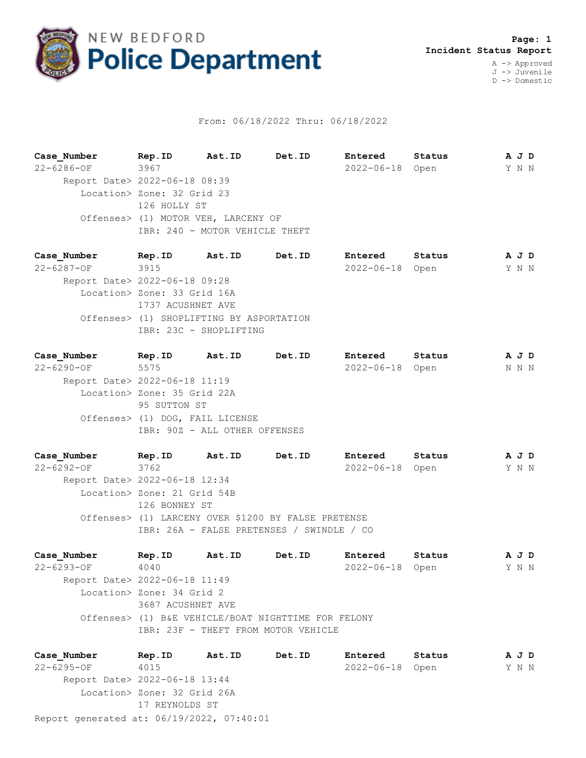

## From: 06/18/2022 Thru: 06/18/2022

**Case\_Number Rep.ID Ast.ID Det.ID Entered Status A J D** 22-6286-OF 3967 2022-06-18 Open Y N N Report Date> 2022-06-18 08:39 Location> Zone: 32 Grid 23 126 HOLLY ST Offenses> (1) MOTOR VEH, LARCENY OF IBR: 240 - MOTOR VEHICLE THEFT

**Case\_Number Rep.ID Ast.ID Det.ID Entered Status A J D** 22-6287-OF 3915 2022-06-18 Open Y N N Report Date> 2022-06-18 09:28 Location> Zone: 33 Grid 16A 1737 ACUSHNET AVE Offenses> (1) SHOPLIFTING BY ASPORTATION IBR: 23C - SHOPLIFTING

**Case\_Number Rep.ID Ast.ID Det.ID Entered Status A J D** 22-6290-OF 5575 2022-06-18 Open N N N Report Date> 2022-06-18 11:19 Location> Zone: 35 Grid 22A 95 SUTTON ST Offenses> (1) DOG, FAIL LICENSE IBR: 90Z - ALL OTHER OFFENSES

**Case\_Number Rep.ID Ast.ID Det.ID Entered Status A J D** 22-6292-OF 3762 2022-06-18 Open Y N N Report Date> 2022-06-18 12:34 Location> Zone: 21 Grid 54B 126 BONNEY ST Offenses> (1) LARCENY OVER \$1200 BY FALSE PRETENSE IBR: 26A - FALSE PRETENSES / SWINDLE / CO

**Case\_Number Rep.ID Ast.ID Det.ID Entered Status A J D** 22-6293-OF 4040 2022-06-18 Open Y N N Report Date> 2022-06-18 11:49 Location> Zone: 34 Grid 2 3687 ACUSHNET AVE Offenses> (1) B&E VEHICLE/BOAT NIGHTTIME FOR FELONY IBR: 23F - THEFT FROM MOTOR VEHICLE

Report generated at: 06/19/2022, 07:40:01 **Case\_Number Rep.ID Ast.ID Det.ID Entered Status A J D** 22-6295-OF 4015 2022-06-18 Open Y N N Report Date> 2022-06-18 13:44 Location> Zone: 32 Grid 26A 17 REYNOLDS ST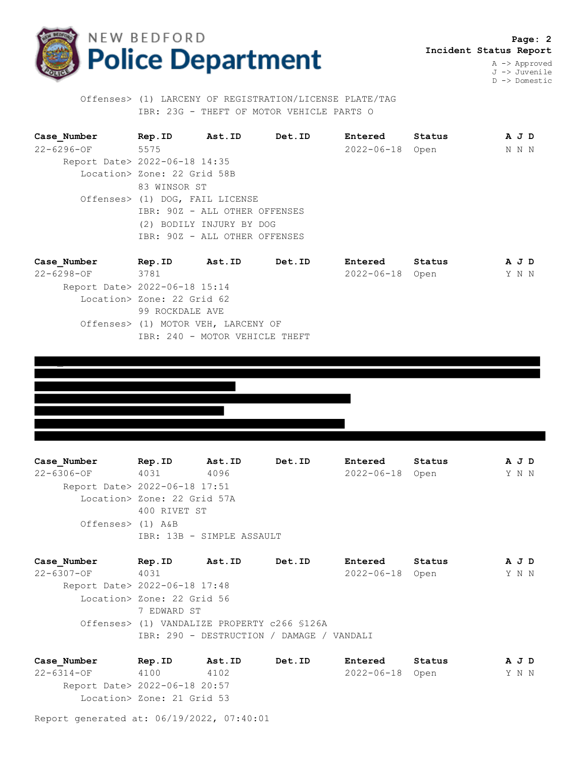

 **Page: 2 Incident Status Report** A -> Approved

J -> Juvenile D -> Domestic

 Offenses> (1) LARCENY OF REGISTRATION/LICENSE PLATE/TAG IBR: 23G - THEFT OF MOTOR VEHICLE PARTS O

| Case Number                   | Rep.ID                          | Ast.ID | Det.ID | <b>Entered</b>  | Status | A J D |  |
|-------------------------------|---------------------------------|--------|--------|-----------------|--------|-------|--|
| $22 - 6296 - 0F$              | 5575                            |        |        | 2022-06-18 Open |        | N N N |  |
| Report Date> 2022-06-18 14:35 |                                 |        |        |                 |        |       |  |
|                               | Location> Zone: 22 Grid 58B     |        |        |                 |        |       |  |
|                               | 83 WINSOR ST                    |        |        |                 |        |       |  |
|                               | Offenses> (1) DOG, FAIL LICENSE |        |        |                 |        |       |  |
|                               | IBR: 90Z - ALL OTHER OFFENSES   |        |        |                 |        |       |  |
|                               | (2) BODILY INJURY BY DOG        |        |        |                 |        |       |  |
|                               | IBR: 90Z - ALL OTHER OFFENSES   |        |        |                 |        |       |  |
|                               |                                 |        |        |                 |        |       |  |

| Rep.ID | Ast.ID | Det.ID                                                                         | Entered                                                               | Status |                 |                |
|--------|--------|--------------------------------------------------------------------------------|-----------------------------------------------------------------------|--------|-----------------|----------------|
|        |        |                                                                                |                                                                       |        |                 |                |
|        |        |                                                                                |                                                                       |        |                 |                |
|        |        |                                                                                |                                                                       |        |                 |                |
|        |        |                                                                                |                                                                       |        |                 |                |
|        |        |                                                                                |                                                                       |        |                 |                |
|        |        |                                                                                |                                                                       |        |                 |                |
|        | 3781   | Report Date> 2022-06-18 15:14<br>Location> Zone: 22 Grid 62<br>99 ROCKDALE AVE | Offenses> (1) MOTOR VEH, LARCENY OF<br>IBR: 240 - MOTOR VEHICLE THEFT |        | 2022-06-18 Open | A J D<br>Y N N |

**Case\_Number Rep.ID Ast.ID Det.ID Entered Status A J D** 22-6306-OF 4031 4096 2022-06-18 Open Y N N Report Date> 2022-06-18 17:51 Location> Zone: 22 Grid 57A 400 RIVET ST Offenses> (1) A&B IBR: 13B - SIMPLE ASSAULT

| Case Number                   | Rep.ID                     | Ast.ID | Det.ID                                       | Entered         | Status | AJD   |  |
|-------------------------------|----------------------------|--------|----------------------------------------------|-----------------|--------|-------|--|
| $22 - 6307 - OF$              | 4031                       |        |                                              | 2022-06-18 Open |        | Y N N |  |
| Report Date> 2022-06-18 17:48 |                            |        |                                              |                 |        |       |  |
|                               | Location> Zone: 22 Grid 56 |        |                                              |                 |        |       |  |
|                               | 7 EDWARD ST                |        |                                              |                 |        |       |  |
|                               |                            |        | Offenses> (1) VANDALIZE PROPERTY c266 \$126A |                 |        |       |  |
|                               |                            |        | IBR: 290 - DESTRUCTION / DAMAGE / VANDALI    |                 |        |       |  |
|                               |                            |        |                                              |                 |        |       |  |

**Case\_Number Rep.ID Ast.ID Det.ID Entered Status A J D** 22-6314-OF 4100 4102 2022-06-18 Open Y N N Report Date> 2022-06-18 20:57 Location> Zone: 21 Grid 53

Report generated at: 06/19/2022, 07:40:01